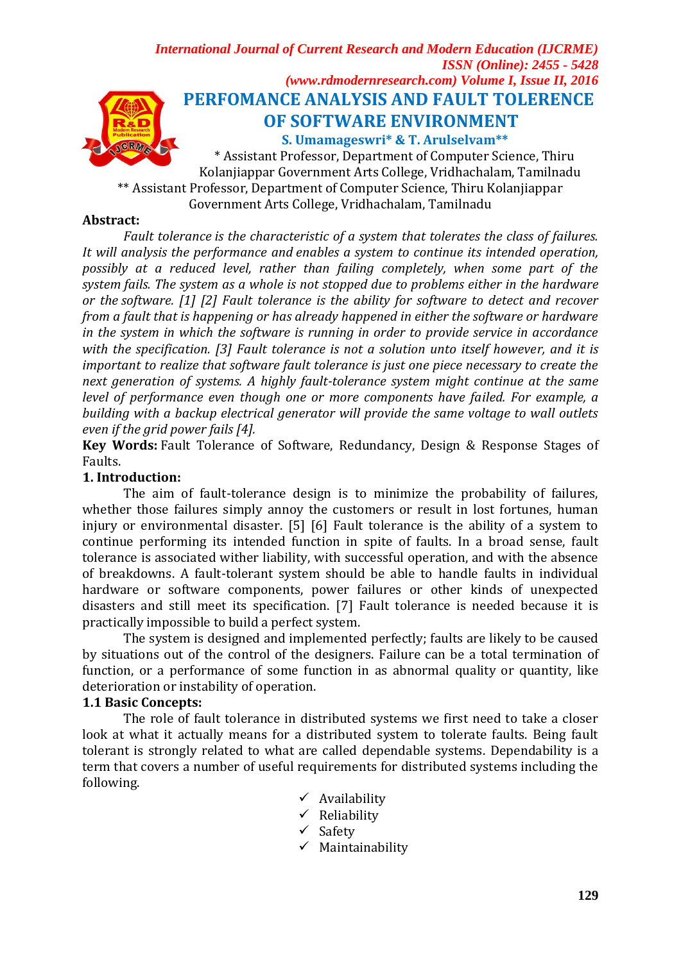*International Journal of Current Research and Modern Education (IJCRME) ISSN (Online): 2455 - 5428 (www.rdmodernresearch.com) Volume I, Issue II, 2016* **PERFOMANCE ANALYSIS AND FAULT TOLERENCE OF SOFTWARE ENVIRONMENT**

**S. Umamageswri\* & T. Arulselvam\*\***

**AGRMA** \* Assistant Professor, Department of Computer Science, Thiru Kolanjiappar Government Arts College, Vridhachalam, Tamilnadu \*\* Assistant Professor, Department of Computer Science, Thiru Kolanjiappar Government Arts College, Vridhachalam, Tamilnadu

### **Abstract:**

*Fault tolerance is the characteristic of a system that tolerates the class of failures. It will analysis the performance and enables a system to continue its intended operation, possibly at a reduced level, rather than failing completely, when some part of the system [fails.](https://en.wikipedia.org/wiki/Failure) The system as a whole is not stopped due to problems either in the [hardware](https://en.wikipedia.org/wiki/Computer_hardware) or the [software.](https://en.wikipedia.org/wiki/Software) [1] [2] Fault tolerance is the ability for software to detect and recover from a fault that is happening or has already happened in either the software or hardware in the system in which the software is running in order to provide service in accordance with the specification. [3] Fault tolerance is not a solution unto itself however, and it is important to realize that software fault tolerance is just one piece necessary to create the next generation of systems. A highly fault-tolerance system might continue at the same level of performance even though one or more components have failed. For example, a building with a backup electrical generator will provide the same voltage to wall outlets even if the grid power fails [4].*

**Key Words:** Fault Tolerance of Software, Redundancy, Design & Response Stages of Faults.

### **1. Introduction:**

The aim of fault-tolerance design is to minimize the probability of failures, whether those failures simply annoy the customers or result in lost fortunes, human injury or environmental disaster. [5] [6] Fault tolerance is the ability of a system to continue performing its intended function in spite of faults. In a broad sense, fault tolerance is associated wither liability, with successful operation, and with the absence of breakdowns. A fault-tolerant system should be able to handle faults in individual hardware or software components, power failures or other kinds of unexpected disasters and still meet its specification. [7] Fault tolerance is needed because it is practically impossible to build a perfect system.

The system is designed and implemented perfectly; faults are likely to be caused by situations out of the control of the designers. Failure can be a total termination of function, or a performance of some function in as abnormal quality or quantity, like deterioration or instability of operation.

#### **1.1 Basic Concepts:**

The role of fault tolerance in distributed systems we first need to take a closer look at what it actually means for a distributed system to tolerate faults. Being fault tolerant is strongly related to what are called dependable systems. Dependability is a term that covers a number of useful requirements for distributed systems including the following.

- $\checkmark$  Availability
- $\checkmark$  Reliability
- $\checkmark$  Safety
- $\checkmark$  Maintainability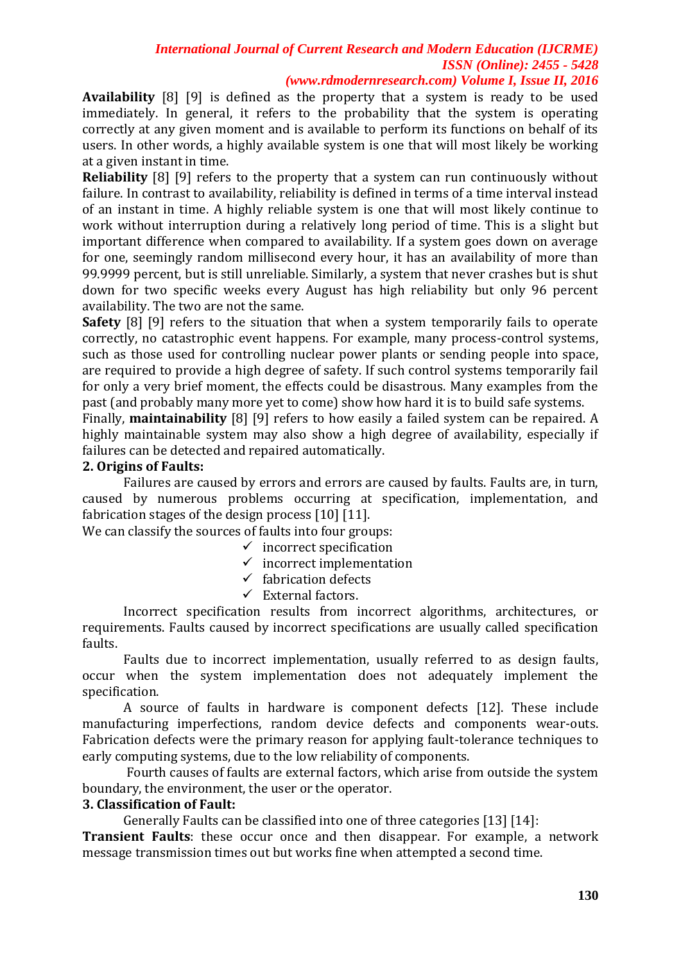*(www.rdmodernresearch.com) Volume I, Issue II, 2016*

**Availability** [8] [9] is defined as the property that a system is ready to be used immediately. In general, it refers to the probability that the system is operating correctly at any given moment and is available to perform its functions on behalf of its users. In other words, a highly available system is one that will most likely be working at a given instant in time.

**Reliability** [8] [9] refers to the property that a system can run continuously without failure. In contrast to availability, reliability is defined in terms of a time interval instead of an instant in time. A highly reliable system is one that will most likely continue to work without interruption during a relatively long period of time. This is a slight but important difference when compared to availability. If a system goes down on average for one, seemingly random millisecond every hour, it has an availability of more than 99.9999 percent, but is still unreliable. Similarly, a system that never crashes but is shut down for two specific weeks every August has high reliability but only 96 percent availability. The two are not the same.

**Safety** [8] [9] refers to the situation that when a system temporarily fails to operate correctly, no catastrophic event happens. For example, many process-control systems, such as those used for controlling nuclear power plants or sending people into space, are required to provide a high degree of safety. If such control systems temporarily fail for only a very brief moment, the effects could be disastrous. Many examples from the past (and probably many more yet to come) show how hard it is to build safe systems.

Finally, **maintainability** [8] [9] refers to how easily a failed system can be repaired. A highly maintainable system may also show a high degree of availability, especially if failures can be detected and repaired automatically.

#### **2. Origins of Faults:**

Failures are caused by errors and errors are caused by faults. Faults are, in turn, caused by numerous problems occurring at specification, implementation, and fabrication stages of the design process [10] [11].

We can classify the sources of faults into four groups:

- $\checkmark$  incorrect specification
	- $\checkmark$  incorrect implementation
	- $\checkmark$  fabrication defects
	- $\checkmark$  External factors.

Incorrect specification results from incorrect algorithms, architectures, or requirements. Faults caused by incorrect specifications are usually called specification faults.

Faults due to incorrect implementation, usually referred to as design faults, occur when the system implementation does not adequately implement the specification.

A source of faults in hardware is component defects [12]. These include manufacturing imperfections, random device defects and components wear-outs. Fabrication defects were the primary reason for applying fault-tolerance techniques to early computing systems, due to the low reliability of components.

Fourth causes of faults are external factors, which arise from outside the system boundary, the environment, the user or the operator.

#### **3. Classification of Fault:**

Generally Faults can be classified into one of three categories [13] [14]:

**Transient Faults**: these occur once and then disappear. For example, a network message transmission times out but works fine when attempted a second time.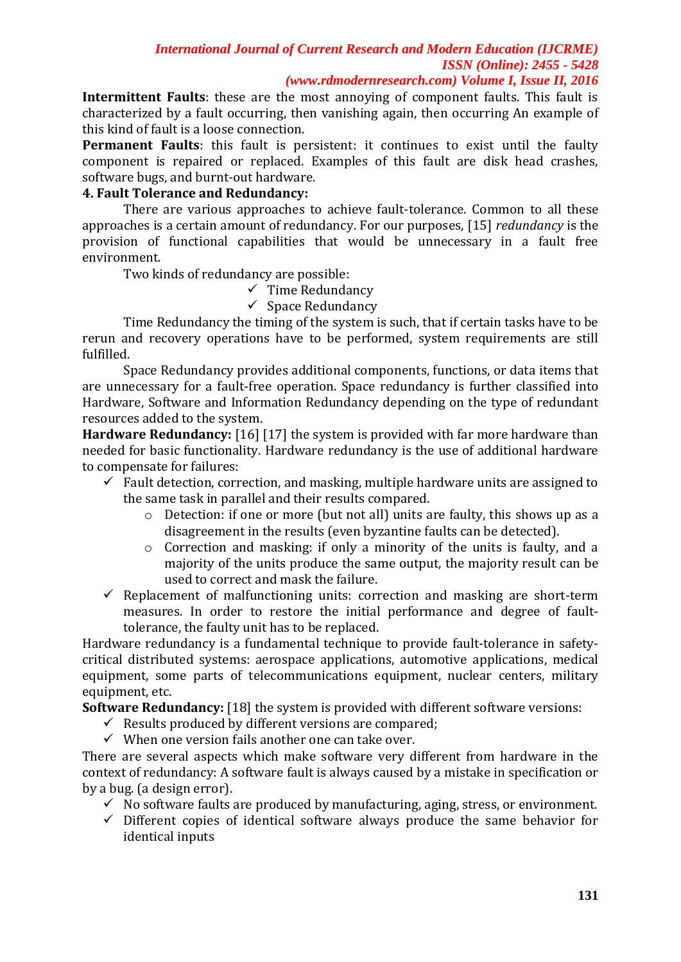*(www.rdmodernresearch.com) Volume I, Issue II, 2016*

**Intermittent Faults**: these are the most annoying of component faults. This fault is characterized by a fault occurring, then vanishing again, then occurring An example of this kind of fault is a loose connection.

**Permanent Faults**: this fault is persistent: it continues to exist until the faulty component is repaired or replaced. Examples of this fault are disk head crashes, software bugs, and burnt-out hardware.

### **4. Fault Tolerance and Redundancy:**

There are various approaches to achieve fault-tolerance. Common to all these approaches is a certain amount of redundancy. For our purposes, [15] *redundancy* is the provision of functional capabilities that would be unnecessary in a fault free environment.

Two kinds of redundancy are possible:

 $\checkmark$  Time Redundancy

 $\checkmark$  Space Redundancy

Time Redundancy the timing of the system is such, that if certain tasks have to be rerun and recovery operations have to be performed, system requirements are still fulfilled.

Space Redundancy provides additional components, functions, or data items that are unnecessary for a fault-free operation. Space redundancy is further classified into Hardware, Software and Information Redundancy depending on the type of redundant resources added to the system.

**Hardware Redundancy:** [16] [17] the system is provided with far more hardware than needed for basic functionality. Hardware redundancy is the use of additional hardware to compensate for failures:

- $\checkmark$  Fault detection, correction, and masking, multiple hardware units are assigned to the same task in parallel and their results compared.
	- o Detection: if one or more (but not all) units are faulty, this shows up as a disagreement in the results (even byzantine faults can be detected).
	- o Correction and masking: if only a minority of the units is faulty, and a majority of the units produce the same output, the majority result can be used to correct and mask the failure.
- $\checkmark$  Replacement of malfunctioning units: correction and masking are short-term measures. In order to restore the initial performance and degree of faulttolerance, the faulty unit has to be replaced.

Hardware redundancy is a fundamental technique to provide fault-tolerance in safetycritical distributed systems: aerospace applications, automotive applications, medical equipment, some parts of telecommunications equipment, nuclear centers, military equipment, etc.

**Software Redundancy:** [18] the system is provided with different software versions:

- $\checkmark$  Results produced by different versions are compared;
- $\checkmark$  When one version fails another one can take over.

There are several aspects which make software very different from hardware in the context of redundancy: A software fault is always caused by a mistake in specification or by a bug. (a design error).

- $\checkmark$  No software faults are produced by manufacturing, aging, stress, or environment.
- $\checkmark$  Different copies of identical software always produce the same behavior for identical inputs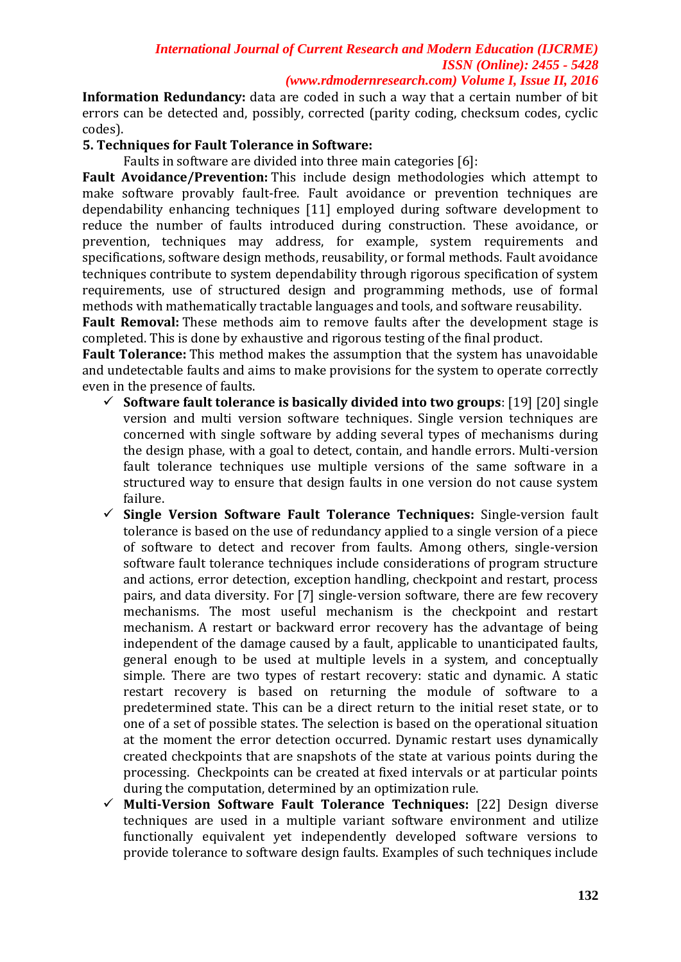*(www.rdmodernresearch.com) Volume I, Issue II, 2016*

**Information Redundancy:** data are coded in such a way that a certain number of bit errors can be detected and, possibly, corrected (parity coding, checksum codes, cyclic codes).

### **5. Techniques for Fault Tolerance in Software:**

Faults in software are divided into three main categories [6]:

**Fault Avoidance/Prevention:** This include design methodologies which attempt to make software provably fault-free. Fault avoidance or prevention techniques are dependability enhancing techniques [11] employed during software development to reduce the number of faults introduced during construction. These avoidance, or prevention, techniques may address, for example, system requirements and specifications, software design methods, reusability, or formal methods. Fault avoidance techniques contribute to system dependability through rigorous specification of system requirements, use of structured design and programming methods, use of formal methods with mathematically tractable languages and tools, and software reusability.

**Fault Removal:** These methods aim to remove faults after the development stage is completed. This is done by exhaustive and rigorous testing of the final product.

**Fault Tolerance:** This method makes the assumption that the system has unavoidable and undetectable faults and aims to make provisions for the system to operate correctly even in the presence of faults.

- **Software fault tolerance is basically divided into two groups**: [19] [20] single version and multi version software techniques. Single version techniques are concerned with single software by adding several types of mechanisms during the design phase, with a goal to detect, contain, and handle errors. Multi-version fault tolerance techniques use multiple versions of the same software in a structured way to ensure that design faults in one version do not cause system failure.
- **Single Version Software Fault Tolerance Techniques:** Single-version fault tolerance is based on the use of redundancy applied to a single version of a piece of software to detect and recover from faults. Among others, single-version software fault tolerance techniques include considerations of program structure and actions, error detection, exception handling, checkpoint and restart, process pairs, and data diversity. For [7] single-version software, there are few recovery mechanisms. The most useful mechanism is the checkpoint and restart mechanism. A restart or backward error recovery has the advantage of being independent of the damage caused by a fault, applicable to unanticipated faults, general enough to be used at multiple levels in a system, and conceptually simple. There are two types of restart recovery: static and dynamic. A static restart recovery is based on returning the module of software to a predetermined state. This can be a direct return to the initial reset state, or to one of a set of possible states. The selection is based on the operational situation at the moment the error detection occurred. Dynamic restart uses dynamically created checkpoints that are snapshots of the state at various points during the processing. Checkpoints can be created at fixed intervals or at particular points during the computation, determined by an optimization rule.
- **Multi-Version Software Fault Tolerance Techniques:** [22] Design diverse techniques are used in a multiple variant software environment and utilize functionally equivalent yet independently developed software versions to provide tolerance to software design faults. Examples of such techniques include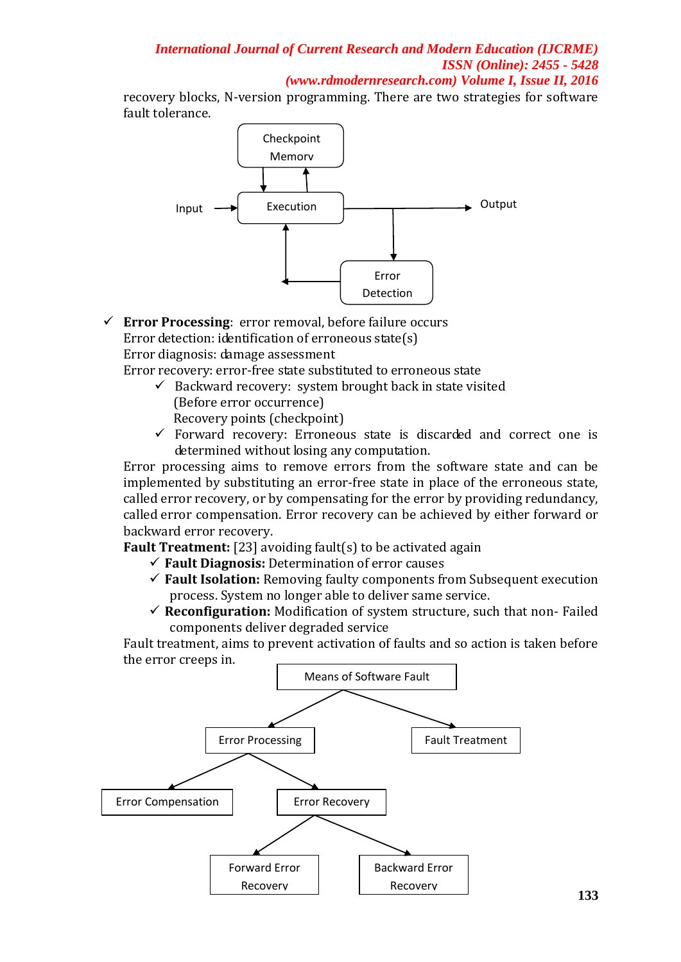*(www.rdmodernresearch.com) Volume I, Issue II, 2016*

recovery blocks, N-version programming. There are two strategies for software fault tolerance.



 **Error Processing**: error removal, before failure occurs Error detection: identification of erroneous state(s) Error diagnosis: damage assessment

Error recovery: error-free state substituted to erroneous state

 $\checkmark$  Backward recovery: system brought back in state visited (Before error occurrence)

Recovery points (checkpoint)

 $\checkmark$  Forward recovery: Erroneous state is discarded and correct one is determined without losing any computation.

Error processing aims to remove errors from the software state and can be implemented by substituting an error-free state in place of the erroneous state, called error recovery, or by compensating for the error by providing redundancy, called error compensation. Error recovery can be achieved by either forward or backward error recovery.

**Fault Treatment:** [23] avoiding fault(s) to be activated again

- **Fault Diagnosis:** Determination of error causes
- **Fault Isolation:** Removing faulty components from Subsequent execution process. System no longer able to deliver same service.
- **Reconfiguration:** Modification of system structure, such that non- Failed components deliver degraded service

Fault treatment, aims to prevent activation of faults and so action is taken before the error creeps in.

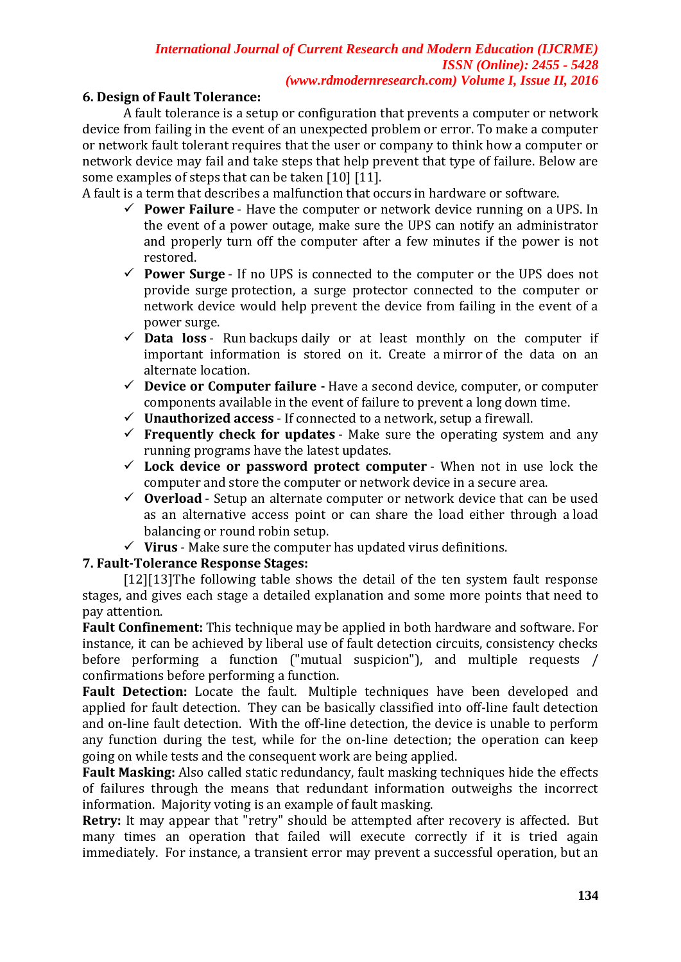### *International Journal of Current Research and Modern Education (IJCRME) ISSN (Online): 2455 - 5428 (www.rdmodernresearch.com) Volume I, Issue II, 2016*

### **6. Design of Fault Tolerance:**

A fault tolerance is a setup or configuration that prevents a computer or network device from failing in the event of an unexpected problem or error. To make a computer or network fault tolerant requires that the user or company to think how a computer or network device may fail and take steps that help prevent that type of failure. Below are some examples of steps that can be taken [10] [11].

A fault is a term that describes a malfunction that occurs in hardware or software.

- **Power Failure** Have the computer or network device running on a [UPS.](http://www.computerhope.com/jargon/u/ups.htm) In the event of a power outage, make sure the UPS can notify an administrator and properly turn off the computer after a few minutes if the power is not restored.
- **Power Surge** If no UPS is connected to the computer or the UPS does not provide [surge](http://www.computerhope.com/jargon/s/surge.htm) protection, a surge protector connected to the computer or network device would help prevent the device from failing in the event of a power surge.
- $\checkmark$  **Data loss** Run [backups](http://www.computerhope.com/jargon/b/backup.htm) daily or at least monthly on the computer if important information is stored on it. Create a [mirror](http://www.computerhope.com/jargon/m/mirrorin.htm) of the data on an alternate location.
- **Device or Computer failure -** Have a second device, computer, or computer components available in the event of failure to prevent a long down time.
- **Unauthorized access** If connected to a network, setup a [firewall.](http://www.computerhope.com/jargon/f/firewall.htm)
- $\checkmark$  **Frequently check for updates** Make sure the operating system and any running programs have the latest updates.
- $\checkmark$  Lock device or password protect computer When not in use lock the computer and store the computer or network device in a secure area.
- **Overload** Setup an alternate computer or network device that can be used as an alternative access point or can share the load either through a [load](http://www.computerhope.com/jargon/l/loadbala.htm)  [balancing](http://www.computerhope.com/jargon/l/loadbala.htm) or [round robin](http://www.computerhope.com/jargon/r/rounrobi.htm) setup.
- $\checkmark$  Virus Make sure the computer has updated virus definitions.

# **7. Fault-Tolerance Response Stages:**

[12][13]The following table shows the detail of the ten system fault response stages, and gives each stage a detailed explanation and some more points that need to pay attention.

**Fault Confinement:** This technique may be applied in both hardware and software. For instance, it can be achieved by liberal use of fault detection circuits, consistency checks before performing a function ("mutual suspicion"), and multiple requests / confirmations before performing a function.

**Fault Detection:** Locate the fault. Multiple techniques have been developed and applied for fault detection. They can be basically classified into off-line fault detection and on-line fault detection. With the off-line detection, the device is unable to perform any function during the test, while for the on-line detection; the operation can keep going on while tests and the consequent work are being applied.

**Fault Masking:** Also called static redundancy, fault masking techniques hide the effects of failures through the means that redundant information outweighs the incorrect information. Majority voting is an example of fault masking.

**Retry:** It may appear that "retry" should be attempted after recovery is affected. But many times an operation that failed will execute correctly if it is tried again immediately. For instance, a transient error may prevent a successful operation, but an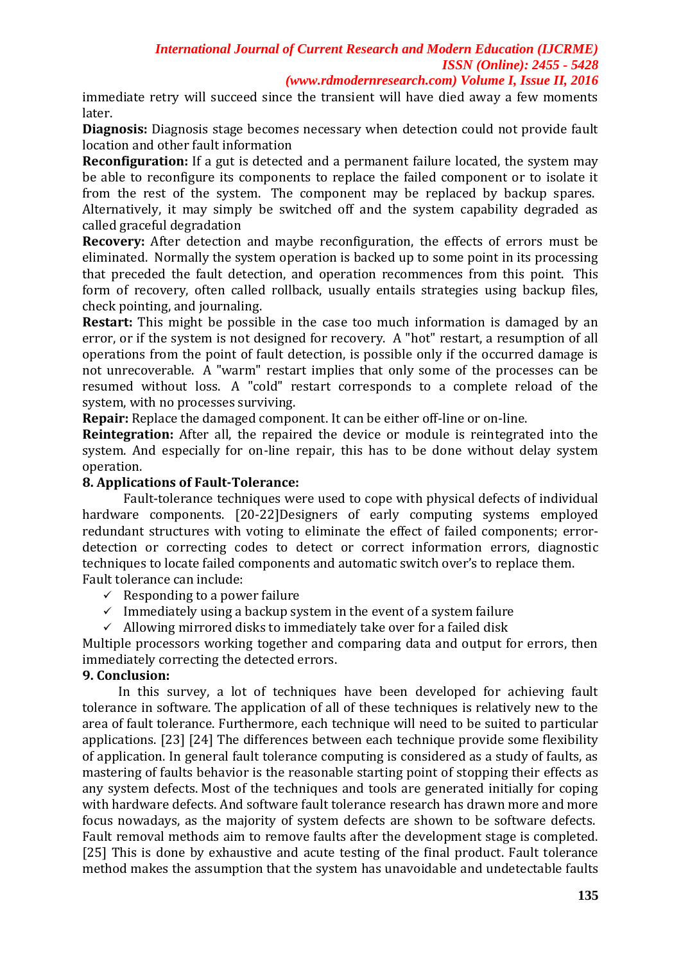*(www.rdmodernresearch.com) Volume I, Issue II, 2016*

immediate retry will succeed since the transient will have died away a few moments later.

**Diagnosis:** Diagnosis stage becomes necessary when detection could not provide fault location and other fault information

**Reconfiguration:** If a gut is detected and a permanent failure located, the system may be able to reconfigure its components to replace the failed component or to isolate it from the rest of the system. The component may be replaced by backup spares. Alternatively, it may simply be switched off and the system capability degraded as

called graceful degradation

**Recovery:** After detection and maybe reconfiguration, the effects of errors must be eliminated. Normally the system operation is backed up to some point in its processing that preceded the fault detection, and operation recommences from this point. This form of recovery, often called rollback, usually entails strategies using backup files, check pointing, and journaling.

**Restart:** This might be possible in the case too much information is damaged by an error, or if the system is not designed for recovery. A "hot" restart, a resumption of all operations from the point of fault detection, is possible only if the occurred damage is not unrecoverable. A "warm" restart implies that only some of the processes can be resumed without loss. A "cold" restart corresponds to a complete reload of the system, with no processes surviving.

**Repair:** Replace the damaged component. It can be either off-line or on-line.

**Reintegration:** After all, the repaired the device or module is reintegrated into the system. And especially for on-line repair, this has to be done without delay system operation.

### **8. Applications of Fault-Tolerance:**

Fault-tolerance techniques were used to cope with physical defects of individual hardware components. [20-22]Designers of early computing systems employed redundant structures with voting to eliminate the effect of failed components; errordetection or correcting codes to detect or correct information errors, diagnostic techniques to locate failed components and automatic switch over's to replace them. Fault tolerance can include:

- $\checkmark$  Responding to a power failure
- $\checkmark$  Immediately using a backup system in the event of a system failure
- $\checkmark$  Allowing mirrored disks to immediately take over for a failed disk

Multiple processors working together and comparing data and output for errors, then immediately correcting the detected errors.

# **9. Conclusion:**

In this survey, a lot of techniques have been developed for achieving fault tolerance in software. The application of all of these techniques is relatively new to the area of fault tolerance. Furthermore, each technique will need to be suited to particular applications. [23] [24] The differences between each technique provide some flexibility of application. In general fault tolerance computing is considered as a study of faults, as mastering of faults behavior is the reasonable starting point of stopping their effects as any system defects. Most of the techniques and tools are generated initially for coping with hardware defects. And software fault tolerance research has drawn more and more focus nowadays, as the majority of system defects are shown to be software defects. Fault removal methods aim to remove faults after the development stage is completed. [25] This is done by exhaustive and acute testing of the final product. Fault tolerance method makes the assumption that the system has unavoidable and undetectable faults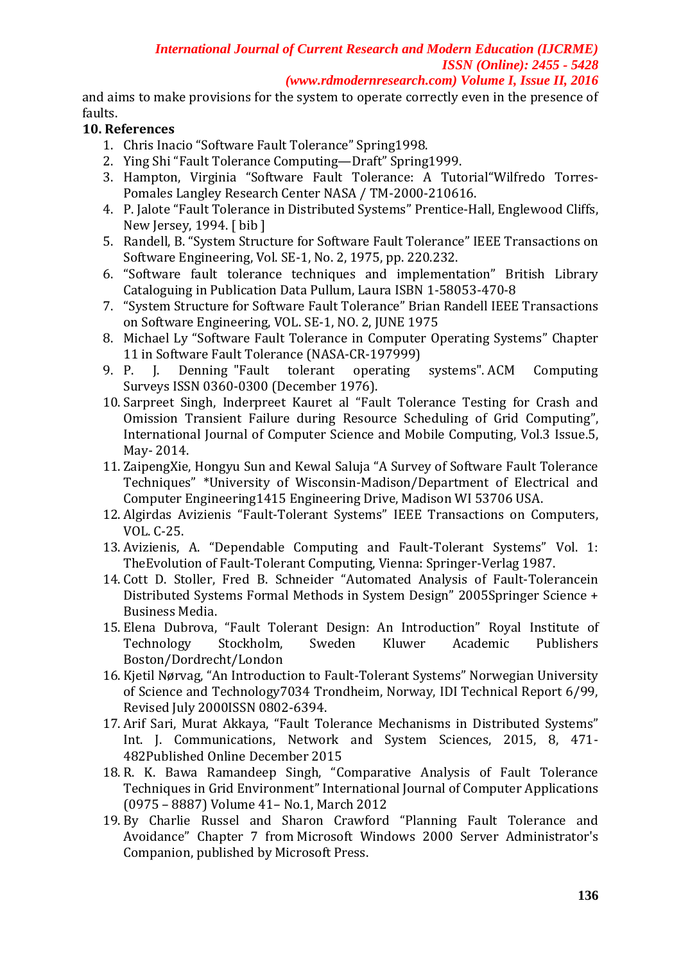*(www.rdmodernresearch.com) Volume I, Issue II, 2016*

and aims to make provisions for the system to operate correctly even in the presence of faults.

# **10. References**

- 1. [Chris Inacio](mailto:%3cmailto:%20inacio@ece.cmu.edu%3e) "Software Fault Tolerance" Spring1998.
- 2. Ying Shi "Fault Tolerance Computing—Draft" Spring1999.
- 3. Hampton, Virginia "Software Fault Tolerance: A Tutorial"Wilfredo Torres-Pomales Langley Research Center NASA / TM-2000-210616.
- 4. P. Jalote "Fault Tolerance in Distributed Systems" Prentice-Hall, Englewood Cliffs, New Jersey, 1994. [ [bib](http://pop-art.inrialpes.fr/~girault/Projets/FT/ft-bib.html#jalote94) ]
- 5. Randell, B. "System Structure for Software Fault Tolerance" IEEE Transactions on Software Engineering, Vol. SE-1, No. 2, 1975, pp. 220.232.
- 6. "Software fault tolerance techniques and implementation" British Library Cataloguing in Publication Data Pullum, Laura ISBN 1-58053-470-8
- 7. "System Structure for Software Fault Tolerance" Brian Randell IEEE Transactions on Software Engineering, VOL. SE-1, NO. 2, JUNE 1975
- 8. Michael Ly "Software Fault Tolerance in Computer Operating Systems" Chapter 11 in Software Fault Tolerance (NASA-CR-197999)
- 9. [P. J. Denning](https://en.wikipedia.org/wiki/P._J._Denning) ["Fault tolerant operating systems".](http://portal.acm.org/citation.cfm?id=356680&dl=ACM&coll=&CFID=15151515&CFTOKEN=6184618) ACM Computing Surveys [ISSN](https://en.wikipedia.org/wiki/International_Standard_Serial_Number) [0360-0300](https://www.worldcat.org/issn/0360-0300) (December 1976).
- 10. Sarpreet Singh, Inderpreet Kauret al "Fault Tolerance Testing for Crash and Omission Transient Failure during Resource Scheduling of Grid Computing", International Journal of Computer Science and Mobile Computing, Vol.3 Issue.5, May- 2014.
- 11. ZaipengXie, Hongyu Sun and Kewal Saluja "A Survey of Software Fault Tolerance Techniques" \*University of Wisconsin-Madison/Department of Electrical and Computer Engineering1415 Engineering Drive, Madison WI 53706 USA.
- 12. Algirdas Avizienis "Fault-Tolerant Systems" IEEE Transactions on Computers, VOL. C-25.
- 13. Avizienis, A. "Dependable Computing and Fault-Tolerant Systems" Vol. 1: TheEvolution of Fault-Tolerant Computing, Vienna: Springer-Verlag 1987.
- 14. Cott D. Stoller, Fred B. Schneider "Automated Analysis of Fault-Tolerancein Distributed Systems Formal Methods in System Design" 2005Springer Science + Business Media.
- 15. Elena Dubrova, "Fault Tolerant Design: An Introduction" Royal Institute of Technology Stockholm, Sweden Kluwer Academic Publishers Boston/Dordrecht/London
- 16. Kjetil Nørvag, "An Introduction to Fault-Tolerant Systems" Norwegian University of Science and Technology7034 Trondheim, Norway, IDI Technical Report 6/99, Revised July 2000ISSN 0802-6394.
- 17. Arif Sari, Murat Akkaya, "Fault Tolerance Mechanisms in Distributed Systems" Int. J. Communications, Network and System Sciences, 2015, 8, 471- 482Published Online December 2015
- 18. R. K. Bawa Ramandeep Singh, "Comparative Analysis of Fault Tolerance Techniques in Grid Environment" International Journal of Computer Applications (0975 – 8887) Volume 41– No.1, March 2012
- 19. By Charlie Russel and Sharon Crawford "Planning Fault Tolerance and Avoidance" Chapter 7 from Microsoft Windows 2000 Server Administrator's Companion, published by Microsoft Press.